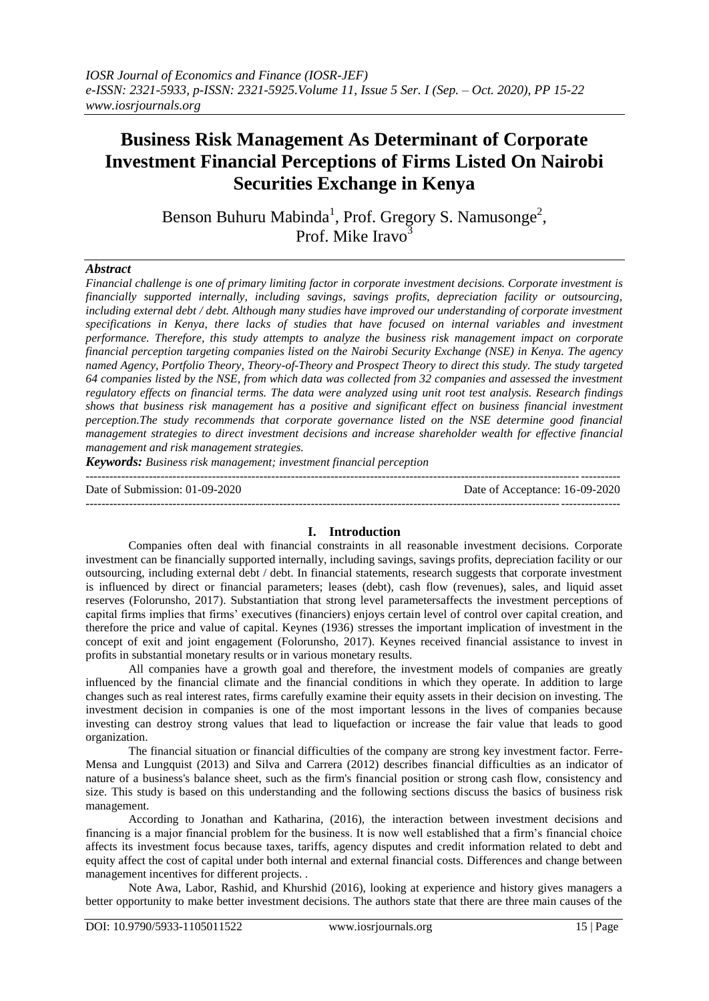# **Business Risk Management As Determinant of Corporate Investment Financial Perceptions of Firms Listed On Nairobi Securities Exchange in Kenya**

Benson Buhuru Mabinda<sup>1</sup>, Prof. Gregory S. Namusonge<sup>2</sup>, Prof. Mike Iravo<sup>3</sup>

## *Abstract*

*Financial challenge is one of primary limiting factor in corporate investment decisions. Corporate investment is financially supported internally, including savings, savings profits, depreciation facility or outsourcing, including external debt / debt. Although many studies have improved our understanding of corporate investment specifications in Kenya, there lacks of studies that have focused on internal variables and investment performance. Therefore, this study attempts to analyze the business risk management impact on corporate financial perception targeting companies listed on the Nairobi Security Exchange (NSE) in Kenya. The agency named Agency, Portfolio Theory, Theory-of-Theory and Prospect Theory to direct this study. The study targeted 64 companies listed by the NSE, from which data was collected from 32 companies and assessed the investment regulatory effects on financial terms. The data were analyzed using unit root test analysis. Research findings shows that business risk management has a positive and significant effect on business financial investment perception.The study recommends that corporate governance listed on the NSE determine good financial management strategies to direct investment decisions and increase shareholder wealth for effective financial management and risk management strategies.*

*Keywords: Business risk management; investment financial perception* ---------------------------------------------------------------------------------------------------------------------------------------

Date of Submission: 01-09-2020 Date of Acceptance: 16-09-2020

---------------------------------------------------------------------------------------------------------------------------------------

## **I. Introduction**

Companies often deal with financial constraints in all reasonable investment decisions. Corporate investment can be financially supported internally, including savings, savings profits, depreciation facility or our outsourcing, including external debt / debt. In financial statements, research suggests that corporate investment is influenced by direct or financial parameters; leases (debt), cash flow (revenues), sales, and liquid asset reserves (Folorunsho, 2017). Substantiation that strong level parametersaffects the investment perceptions of capital firms implies that firms' executives (financiers) enjoys certain level of control over capital creation, and therefore the price and value of capital. Keynes (1936) stresses the important implication of investment in the concept of exit and joint engagement (Folorunsho, 2017). Keynes received financial assistance to invest in profits in substantial monetary results or in various monetary results.

All companies have a growth goal and therefore, the investment models of companies are greatly influenced by the financial climate and the financial conditions in which they operate. In addition to large changes such as real interest rates, firms carefully examine their equity assets in their decision on investing. The investment decision in companies is one of the most important lessons in the lives of companies because investing can destroy strong values that lead to liquefaction or increase the fair value that leads to good organization.

The financial situation or financial difficulties of the company are strong key investment factor. Ferre-Mensa and Lungquist (2013) and Silva and Carrera (2012) describes financial difficulties as an indicator of nature of a business's balance sheet, such as the firm's financial position or strong cash flow, consistency and size. This study is based on this understanding and the following sections discuss the basics of business risk management.

According to Jonathan and Katharina, (2016), the interaction between investment decisions and financing is a major financial problem for the business. It is now well established that a firm's financial choice affects its investment focus because taxes, tariffs, agency disputes and credit information related to debt and equity affect the cost of capital under both internal and external financial costs. Differences and change between management incentives for different projects. .

Note Awa, Labor, Rashid, and Khurshid (2016), looking at experience and history gives managers a better opportunity to make better investment decisions. The authors state that there are three main causes of the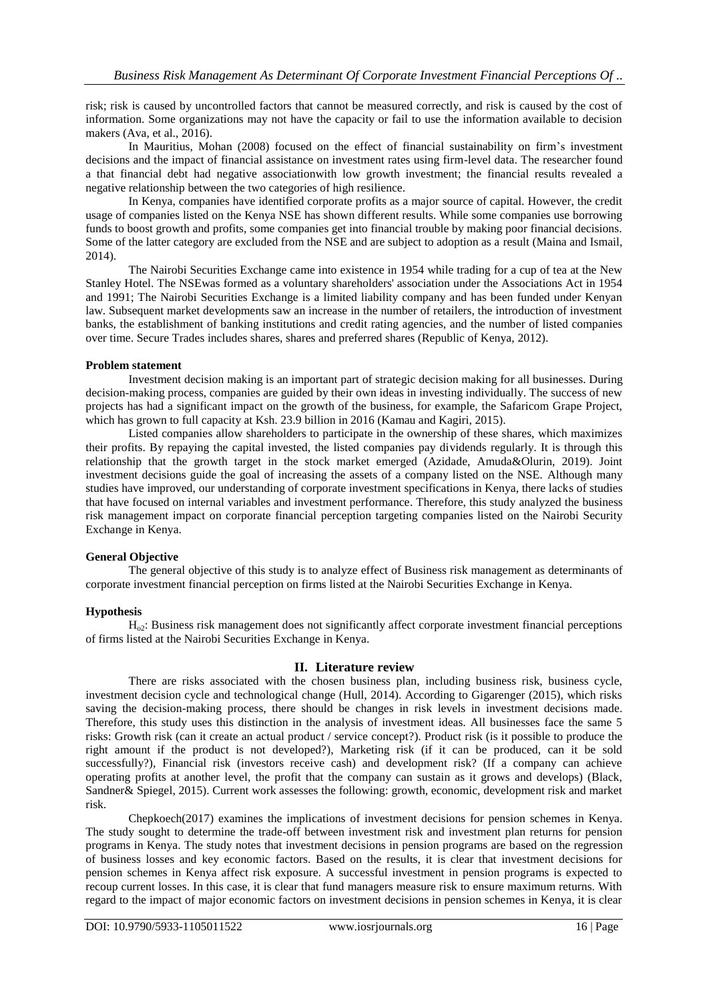risk; risk is caused by uncontrolled factors that cannot be measured correctly, and risk is caused by the cost of information. Some organizations may not have the capacity or fail to use the information available to decision makers (Ava, et al., 2016).

In Mauritius, Mohan (2008) focused on the effect of financial sustainability on firm's investment decisions and the impact of financial assistance on investment rates using firm-level data. The researcher found a that financial debt had negative associationwith low growth investment; the financial results revealed a negative relationship between the two categories of high resilience.

In Kenya, companies have identified corporate profits as a major source of capital. However, the credit usage of companies listed on the Kenya NSE has shown different results. While some companies use borrowing funds to boost growth and profits, some companies get into financial trouble by making poor financial decisions. Some of the latter category are excluded from the NSE and are subject to adoption as a result (Maina and Ismail, 2014).

The Nairobi Securities Exchange came into existence in 1954 while trading for a cup of tea at the New Stanley Hotel. The NSEwas formed as a voluntary shareholders' association under the Associations Act in 1954 and 1991; The Nairobi Securities Exchange is a limited liability company and has been funded under Kenyan law. Subsequent market developments saw an increase in the number of retailers, the introduction of investment banks, the establishment of banking institutions and credit rating agencies, and the number of listed companies over time. Secure Trades includes shares, shares and preferred shares (Republic of Kenya, 2012).

## **Problem statement**

Investment decision making is an important part of strategic decision making for all businesses. During decision-making process, companies are guided by their own ideas in investing individually. The success of new projects has had a significant impact on the growth of the business, for example, the Safaricom Grape Project, which has grown to full capacity at Ksh. 23.9 billion in 2016 (Kamau and Kagiri, 2015).

Listed companies allow shareholders to participate in the ownership of these shares, which maximizes their profits. By repaying the capital invested, the listed companies pay dividends regularly. It is through this relationship that the growth target in the stock market emerged (Azidade, Amuda&Olurin, 2019). Joint investment decisions guide the goal of increasing the assets of a company listed on the NSE. Although many studies have improved, our understanding of corporate investment specifications in Kenya, there lacks of studies that have focused on internal variables and investment performance. Therefore, this study analyzed the business risk management impact on corporate financial perception targeting companies listed on the Nairobi Security Exchange in Kenya.

# **General Objective**

The general objective of this study is to analyze effect of Business risk management as determinants of corporate investment financial perception on firms listed at the Nairobi Securities Exchange in Kenya.

# **Hypothesis**

Ho2: Business risk management does not significantly affect corporate investment financial perceptions of firms listed at the Nairobi Securities Exchange in Kenya.

# **II. Literature review**

There are risks associated with the chosen business plan, including business risk, business cycle, investment decision cycle and technological change (Hull, 2014). According to Gigarenger (2015), which risks saving the decision-making process, there should be changes in risk levels in investment decisions made. Therefore, this study uses this distinction in the analysis of investment ideas. All businesses face the same 5 risks: Growth risk (can it create an actual product / service concept?). Product risk (is it possible to produce the right amount if the product is not developed?), Marketing risk (if it can be produced, can it be sold successfully?), Financial risk (investors receive cash) and development risk? (If a company can achieve operating profits at another level, the profit that the company can sustain as it grows and develops) (Black, Sandner& Spiegel, 2015). Current work assesses the following: growth, economic, development risk and market risk.

Chepkoech(2017) examines the implications of investment decisions for pension schemes in Kenya. The study sought to determine the trade-off between investment risk and investment plan returns for pension programs in Kenya. The study notes that investment decisions in pension programs are based on the regression of business losses and key economic factors. Based on the results, it is clear that investment decisions for pension schemes in Kenya affect risk exposure. A successful investment in pension programs is expected to recoup current losses. In this case, it is clear that fund managers measure risk to ensure maximum returns. With regard to the impact of major economic factors on investment decisions in pension schemes in Kenya, it is clear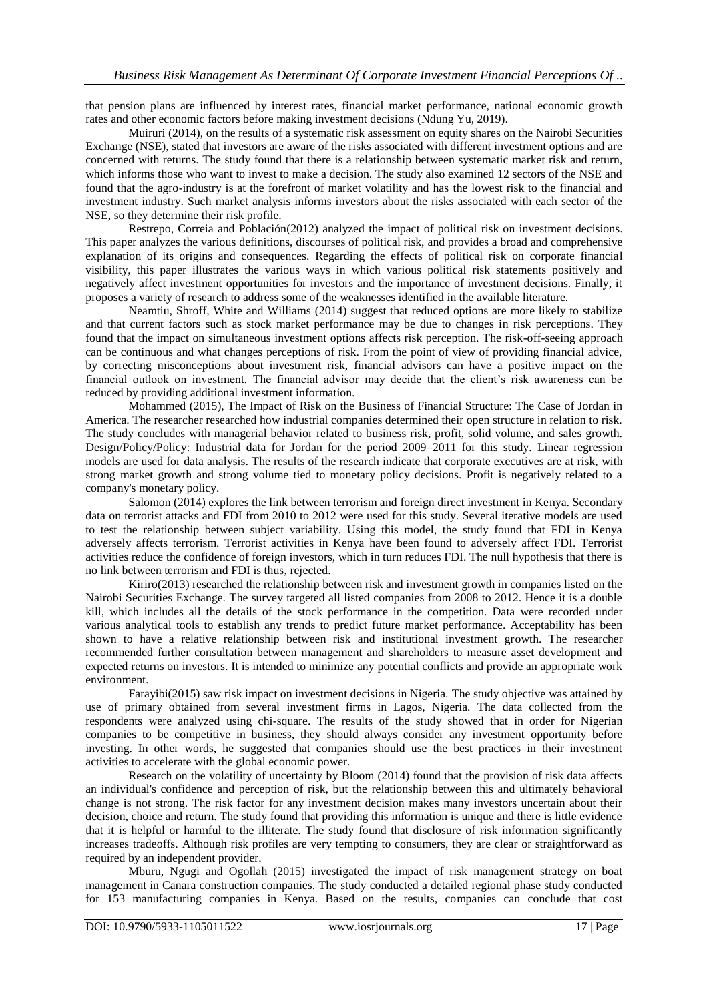that pension plans are influenced by interest rates, financial market performance, national economic growth rates and other economic factors before making investment decisions (Ndung Yu, 2019).

Muiruri (2014), on the results of a systematic risk assessment on equity shares on the Nairobi Securities Exchange (NSE), stated that investors are aware of the risks associated with different investment options and are concerned with returns. The study found that there is a relationship between systematic market risk and return, which informs those who want to invest to make a decision. The study also examined 12 sectors of the NSE and found that the agro-industry is at the forefront of market volatility and has the lowest risk to the financial and investment industry. Such market analysis informs investors about the risks associated with each sector of the NSE, so they determine their risk profile.

Restrepo, Correia and Población(2012) analyzed the impact of political risk on investment decisions. This paper analyzes the various definitions, discourses of political risk, and provides a broad and comprehensive explanation of its origins and consequences. Regarding the effects of political risk on corporate financial visibility, this paper illustrates the various ways in which various political risk statements positively and negatively affect investment opportunities for investors and the importance of investment decisions. Finally, it proposes a variety of research to address some of the weaknesses identified in the available literature.

Neamtiu, Shroff, White and Williams (2014) suggest that reduced options are more likely to stabilize and that current factors such as stock market performance may be due to changes in risk perceptions. They found that the impact on simultaneous investment options affects risk perception. The risk-off-seeing approach can be continuous and what changes perceptions of risk. From the point of view of providing financial advice, by correcting misconceptions about investment risk, financial advisors can have a positive impact on the financial outlook on investment. The financial advisor may decide that the client's risk awareness can be reduced by providing additional investment information.

Mohammed (2015), The Impact of Risk on the Business of Financial Structure: The Case of Jordan in America. The researcher researched how industrial companies determined their open structure in relation to risk. The study concludes with managerial behavior related to business risk, profit, solid volume, and sales growth. Design/Policy/Policy: Industrial data for Jordan for the period 2009–2011 for this study. Linear regression models are used for data analysis. The results of the research indicate that corporate executives are at risk, with strong market growth and strong volume tied to monetary policy decisions. Profit is negatively related to a company's monetary policy.

Salomon (2014) explores the link between terrorism and foreign direct investment in Kenya. Secondary data on terrorist attacks and FDI from 2010 to 2012 were used for this study. Several iterative models are used to test the relationship between subject variability. Using this model, the study found that FDI in Kenya adversely affects terrorism. Terrorist activities in Kenya have been found to adversely affect FDI. Terrorist activities reduce the confidence of foreign investors, which in turn reduces FDI. The null hypothesis that there is no link between terrorism and FDI is thus, rejected.

Kiriro(2013) researched the relationship between risk and investment growth in companies listed on the Nairobi Securities Exchange. The survey targeted all listed companies from 2008 to 2012. Hence it is a double kill, which includes all the details of the stock performance in the competition. Data were recorded under various analytical tools to establish any trends to predict future market performance. Acceptability has been shown to have a relative relationship between risk and institutional investment growth. The researcher recommended further consultation between management and shareholders to measure asset development and expected returns on investors. It is intended to minimize any potential conflicts and provide an appropriate work environment.

Farayibi(2015) saw risk impact on investment decisions in Nigeria. The study objective was attained by use of primary obtained from several investment firms in Lagos, Nigeria. The data collected from the respondents were analyzed using chi-square. The results of the study showed that in order for Nigerian companies to be competitive in business, they should always consider any investment opportunity before investing. In other words, he suggested that companies should use the best practices in their investment activities to accelerate with the global economic power.

Research on the volatility of uncertainty by Bloom (2014) found that the provision of risk data affects an individual's confidence and perception of risk, but the relationship between this and ultimately behavioral change is not strong. The risk factor for any investment decision makes many investors uncertain about their decision, choice and return. The study found that providing this information is unique and there is little evidence that it is helpful or harmful to the illiterate. The study found that disclosure of risk information significantly increases tradeoffs. Although risk profiles are very tempting to consumers, they are clear or straightforward as required by an independent provider.

Mburu, Ngugi and Ogollah (2015) investigated the impact of risk management strategy on boat management in Canara construction companies. The study conducted a detailed regional phase study conducted for 153 manufacturing companies in Kenya. Based on the results, companies can conclude that cost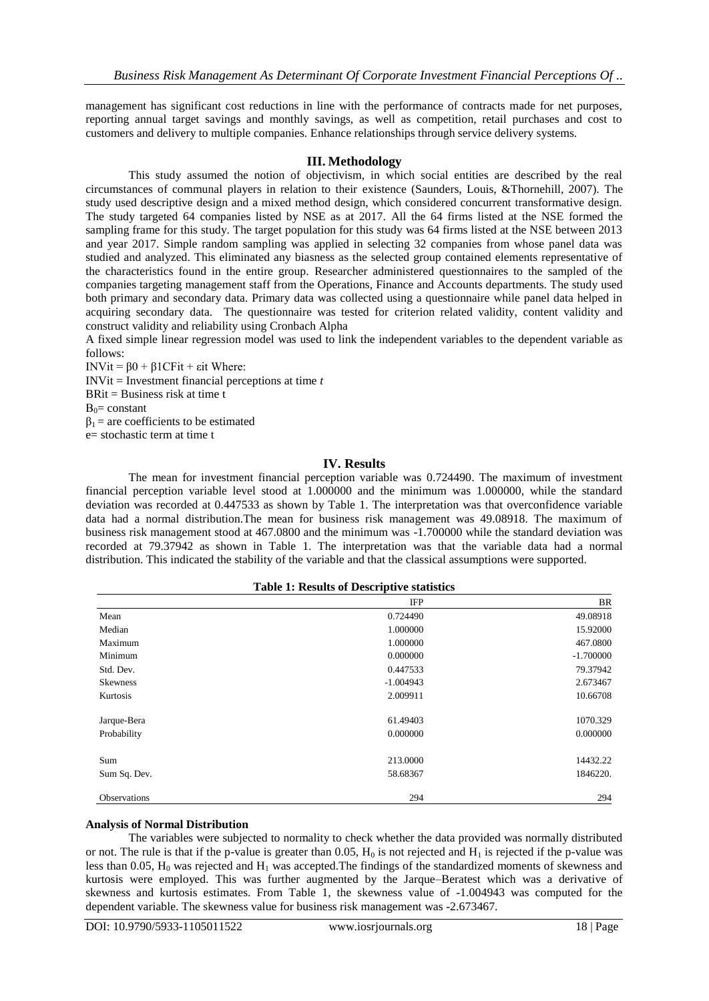management has significant cost reductions in line with the performance of contracts made for net purposes, reporting annual target savings and monthly savings, as well as competition, retail purchases and cost to customers and delivery to multiple companies. Enhance relationships through service delivery systems.

#### **III. Methodology**

This study assumed the notion of objectivism, in which social entities are described by the real circumstances of communal players in relation to their existence (Saunders, Louis, &Thornehill, 2007). The study used descriptive design and a mixed method design, which considered concurrent transformative design. The study targeted 64 companies listed by NSE as at 2017. All the 64 firms listed at the NSE formed the sampling frame for this study. The target population for this study was 64 firms listed at the NSE between 2013 and year 2017. Simple random sampling was applied in selecting 32 companies from whose panel data was studied and analyzed. This eliminated any biasness as the selected group contained elements representative of the characteristics found in the entire group. Researcher administered questionnaires to the sampled of the companies targeting management staff from the Operations, Finance and Accounts departments. The study used both primary and secondary data. Primary data was collected using a questionnaire while panel data helped in acquiring secondary data. The questionnaire was tested for criterion related validity, content validity and construct validity and reliability using Cronbach Alpha

A fixed simple linear regression model was used to link the independent variables to the dependent variable as follows:

INVit = β0 + β1CFit + εit Where:

INVit = Investment financial perceptions at time *t*

BRit = Business risk at time t

 $B_0$ = constant

 $β<sub>1</sub> = are coefficients to be estimated$ 

e= stochastic term at time t

#### **IV. Results**

The mean for investment financial perception variable was 0.724490. The maximum of investment financial perception variable level stood at 1.000000 and the minimum was 1.000000, while the standard deviation was recorded at 0.447533 as shown by Table 1. The interpretation was that overconfidence variable data had a normal distribution.The mean for business risk management was 49.08918. The maximum of business risk management stood at 467.0800 and the minimum was -1.700000 while the standard deviation was recorded at 79.37942 as shown in Table 1. The interpretation was that the variable data had a normal distribution. This indicated the stability of the variable and that the classical assumptions were supported.

|  |  | <b>Table 1: Results of Descriptive statistics</b> |
|--|--|---------------------------------------------------|
|--|--|---------------------------------------------------|

|                 | <b>IFP</b>  | BR          |
|-----------------|-------------|-------------|
| Mean            | 0.724490    | 49.08918    |
| Median          | 1.000000    | 15.92000    |
| Maximum         | 1.000000    | 467.0800    |
| Minimum         | 0.000000    | $-1.700000$ |
| Std. Dev.       | 0.447533    | 79.37942    |
| <b>Skewness</b> | $-1.004943$ | 2.673467    |
| Kurtosis        | 2.009911    | 10.66708    |
| Jarque-Bera     | 61.49403    | 1070.329    |
| Probability     | 0.000000    | 0.000000    |
| Sum             | 213,0000    | 14432.22    |
| Sum Sq. Dev.    | 58.68367    | 1846220.    |
| Observations    | 294         | 294         |

#### **Analysis of Normal Distribution**

The variables were subjected to normality to check whether the data provided was normally distributed or not. The rule is that if the p-value is greater than 0.05,  $H_0$  is not rejected and  $H_1$  is rejected if the p-value was less than 0.05,  $H_0$  was rejected and  $H_1$  was accepted. The findings of the standardized moments of skewness and kurtosis were employed. This was further augmented by the Jarque–Beratest which was a derivative of skewness and kurtosis estimates. From Table 1, the skewness value of -1.004943 was computed for the dependent variable. The skewness value for business risk management was -2.673467.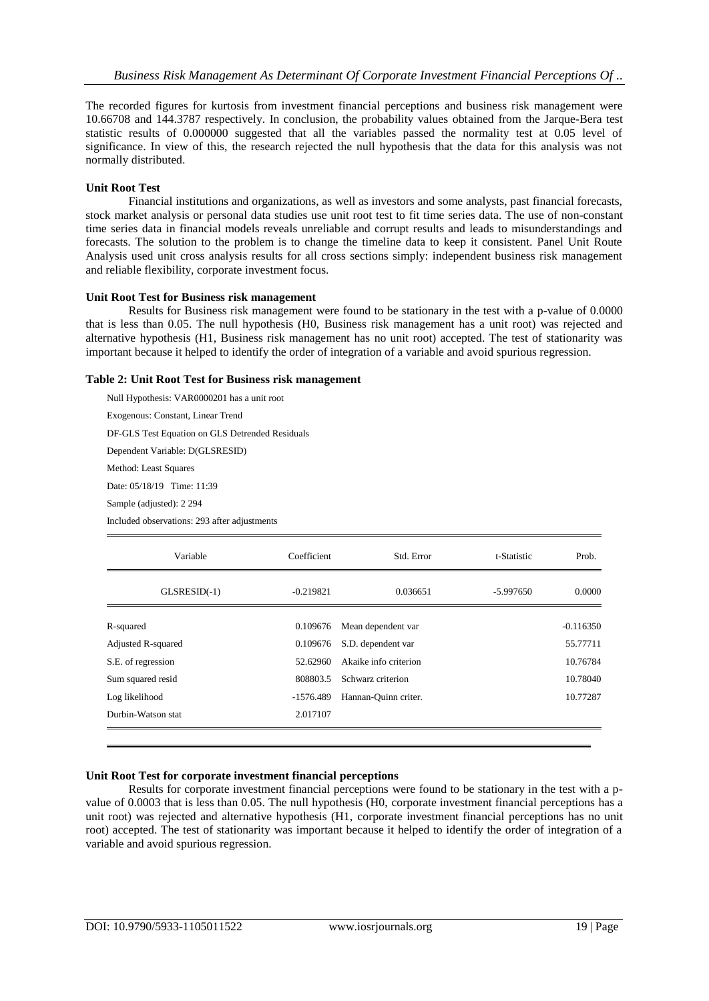The recorded figures for kurtosis from investment financial perceptions and business risk management were 10.66708 and 144.3787 respectively. In conclusion, the probability values obtained from the Jarque-Bera test statistic results of 0.000000 suggested that all the variables passed the normality test at 0.05 level of significance. In view of this, the research rejected the null hypothesis that the data for this analysis was not normally distributed.

### **Unit Root Test**

Financial institutions and organizations, as well as investors and some analysts, past financial forecasts, stock market analysis or personal data studies use unit root test to fit time series data. The use of non-constant time series data in financial models reveals unreliable and corrupt results and leads to misunderstandings and forecasts. The solution to the problem is to change the timeline data to keep it consistent. Panel Unit Route Analysis used unit cross analysis results for all cross sections simply: independent business risk management and reliable flexibility, corporate investment focus.

### **Unit Root Test for Business risk management**

Results for Business risk management were found to be stationary in the test with a p-value of 0.0000 that is less than 0.05. The null hypothesis (H0, Business risk management has a unit root) was rejected and alternative hypothesis (H1, Business risk management has no unit root) accepted. The test of stationarity was important because it helped to identify the order of integration of a variable and avoid spurious regression.

#### **Table 2: Unit Root Test for Business risk management**

Null Hypothesis: VAR0000201 has a unit root

Exogenous: Constant, Linear Trend

DF-GLS Test Equation on GLS Detrended Residuals

Dependent Variable: D(GLSRESID)

Method: Least Squares

Date: 05/18/19 Time: 11:39

Sample (adjusted): 2 294

Included observations: 293 after adjustments

| Variable                  | Coefficient | Std. Error            | t-Statistic | Prob.       |
|---------------------------|-------------|-----------------------|-------------|-------------|
| $GLSRESID(-1)$            | $-0.219821$ | 0.036651              | $-5.997650$ | 0.0000      |
| R-squared                 | 0.109676    | Mean dependent var    |             | $-0.116350$ |
| <b>Adjusted R-squared</b> | 0.109676    | S.D. dependent var    |             | 55.77711    |
| S.E. of regression        | 52.62960    | Akaike info criterion |             | 10.76784    |
| Sum squared resid         | 808803.5    | Schwarz criterion     |             | 10.78040    |
| Log likelihood            | -1576.489   | Hannan-Quinn criter.  |             | 10.77287    |
| Durbin-Watson stat        | 2.017107    |                       |             |             |
|                           |             |                       |             |             |

#### **Unit Root Test for corporate investment financial perceptions**

Results for corporate investment financial perceptions were found to be stationary in the test with a pvalue of 0.0003 that is less than 0.05. The null hypothesis (H0, corporate investment financial perceptions has a unit root) was rejected and alternative hypothesis (H1, corporate investment financial perceptions has no unit root) accepted. The test of stationarity was important because it helped to identify the order of integration of a variable and avoid spurious regression.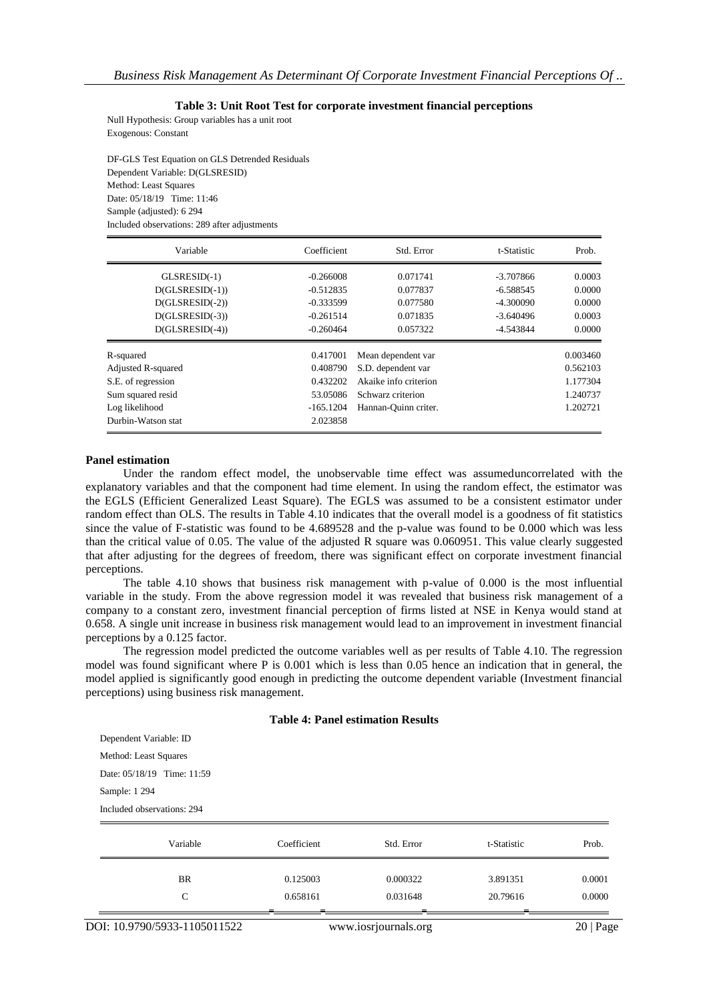**Table 3: Unit Root Test for corporate investment financial perceptions**

Null Hypothesis: Group variables has a unit root Exogenous: Constant

DF-GLS Test Equation on GLS Detrended Residuals Dependent Variable: D(GLSRESID) Method: Least Squares Date: 05/18/19 Time: 11:46 Sample (adjusted): 6 294 Included observations: 289 after adjustments

| Variable                  | Coefficient | Std. Error            | t-Statistic | Prob.    |
|---------------------------|-------------|-----------------------|-------------|----------|
| $GLSRESID(-1)$            | $-0.266008$ | 0.071741              | $-3.707866$ | 0.0003   |
| $D(GLSRESID(-1))$         | $-0.512835$ | 0.077837              | $-6.588545$ | 0.0000   |
| $D(GLSRESID(-2))$         | $-0.333599$ | 0.077580              | $-4.300090$ | 0.0000   |
| $D(GLSRESID(-3))$         | $-0.261514$ | 0.071835              | $-3.640496$ | 0.0003   |
| $D(GLSRESID(-4))$         | $-0.260464$ | 0.057322              | $-4.543844$ | 0.0000   |
| R-squared                 | 0.417001    | Mean dependent var    |             | 0.003460 |
| <b>Adjusted R-squared</b> | 0.408790    | S.D. dependent var    |             | 0.562103 |
| S.E. of regression        | 0.432202    | Akaike info criterion |             | 1.177304 |
| Sum squared resid         | 53.05086    | Schwarz criterion     |             | 1.240737 |
| Log likelihood            | $-165.1204$ | Hannan-Quinn criter.  |             | 1.202721 |
| Durbin-Watson stat        | 2.023858    |                       |             |          |

#### **Panel estimation**

Under the random effect model, the unobservable time effect was assumeduncorrelated with the explanatory variables and that the component had time element. In using the random effect, the estimator was the EGLS (Efficient Generalized Least Square). The EGLS was assumed to be a consistent estimator under random effect than OLS. The results in Table 4.10 indicates that the overall model is a goodness of fit statistics since the value of F-statistic was found to be 4.689528 and the p-value was found to be 0.000 which was less than the critical value of 0.05. The value of the adjusted R square was 0.060951. This value clearly suggested that after adjusting for the degrees of freedom, there was significant effect on corporate investment financial perceptions.

The table 4.10 shows that business risk management with p-value of 0.000 is the most influential variable in the study. From the above regression model it was revealed that business risk management of a company to a constant zero, investment financial perception of firms listed at NSE in Kenya would stand at 0.658. A single unit increase in business risk management would lead to an improvement in investment financial perceptions by a 0.125 factor.

The regression model predicted the outcome variables well as per results of Table 4.10. The regression model was found significant where P is 0.001 which is less than 0.05 hence an indication that in general, the model applied is significantly good enough in predicting the outcome dependent variable (Investment financial perceptions) using business risk management.

#### **Table 4: Panel estimation Results**

| Dependent Variable: ID     |  |  |  |  |  |
|----------------------------|--|--|--|--|--|
| Method: Least Squares      |  |  |  |  |  |
| Date: 05/18/19 Time: 11:59 |  |  |  |  |  |
| Sample: 1 294              |  |  |  |  |  |
| Included observations: 294 |  |  |  |  |  |

| Variable  | Coefficient | Std. Error | t-Statistic | Prob.  |
|-----------|-------------|------------|-------------|--------|
| <b>BR</b> | 0.125003    | 0.000322   | 3.891351    | 0.0001 |
| C         | 0.658161    | 0.031648   | 20.79616    | 0.0000 |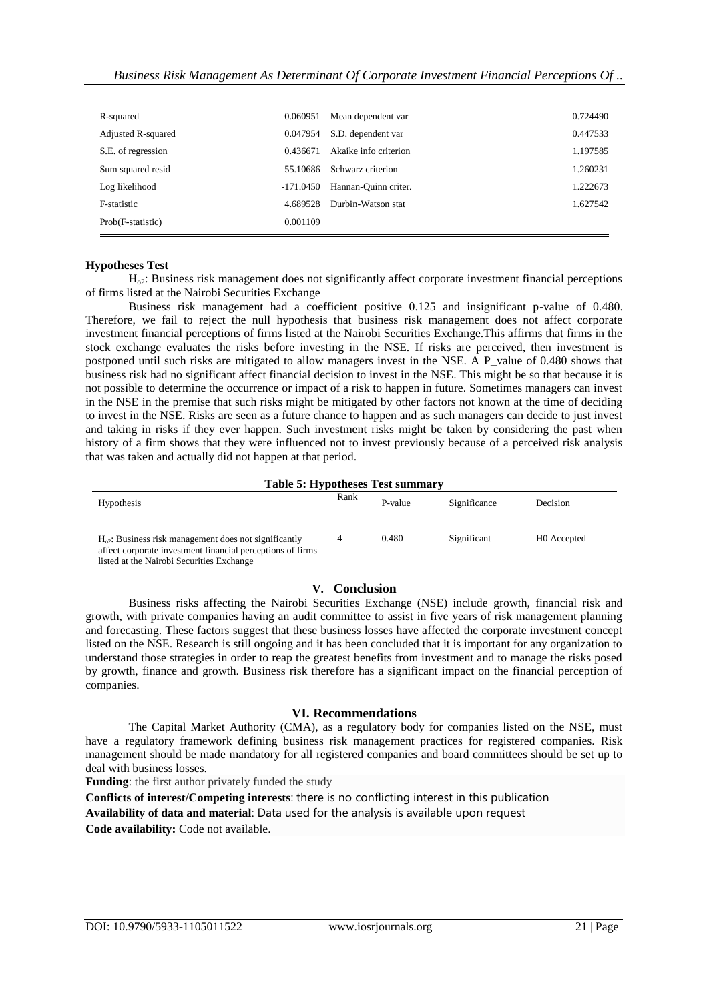| R-squared          | 0.060951  | Mean dependent var    | 0.724490 |
|--------------------|-----------|-----------------------|----------|
| Adjusted R-squared | 0.047954  | S.D. dependent var    | 0.447533 |
| S.E. of regression | 0436671   | Akaike info criterion | 1.197585 |
| Sum squared resid  | 55.10686  | Schwarz criterion     | 1.260231 |
| Log likelihood     | -171.0450 | Hannan-Quinn criter.  | 1.222673 |
| F-statistic        | 4.689528  | Durbin-Watson stat    | 1.627542 |
| Prob(F-statistic)  | 0.001109  |                       |          |
|                    |           |                       |          |

#### **Hypotheses Test**

 $H<sub>o</sub>$ : Business risk management does not significantly affect corporate investment financial perceptions of firms listed at the Nairobi Securities Exchange

Business risk management had a coefficient positive 0.125 and insignificant p-value of 0.480. Therefore, we fail to reject the null hypothesis that business risk management does not affect corporate investment financial perceptions of firms listed at the Nairobi Securities Exchange.This affirms that firms in the stock exchange evaluates the risks before investing in the NSE. If risks are perceived, then investment is postponed until such risks are mitigated to allow managers invest in the NSE. A P\_value of 0.480 shows that business risk had no significant affect financial decision to invest in the NSE. This might be so that because it is not possible to determine the occurrence or impact of a risk to happen in future. Sometimes managers can invest in the NSE in the premise that such risks might be mitigated by other factors not known at the time of deciding to invest in the NSE. Risks are seen as a future chance to happen and as such managers can decide to just invest and taking in risks if they ever happen. Such investment risks might be taken by considering the past when history of a firm shows that they were influenced not to invest previously because of a perceived risk analysis that was taken and actually did not happen at that period.

#### **Table 5: Hypotheses Test summary**

| <b>Hypothesis</b>                                                                                                                                                  | Rank | P-value | Significance | Decision    |
|--------------------------------------------------------------------------------------------------------------------------------------------------------------------|------|---------|--------------|-------------|
| $Ho2$ : Business risk management does not significantly<br>affect corporate investment financial perceptions of firms<br>listed at the Nairobi Securities Exchange |      | 0.480   | Significant  | H0 Accepted |

#### **V. Conclusion**

Business risks affecting the Nairobi Securities Exchange (NSE) include growth, financial risk and growth, with private companies having an audit committee to assist in five years of risk management planning and forecasting. These factors suggest that these business losses have affected the corporate investment concept listed on the NSE. Research is still ongoing and it has been concluded that it is important for any organization to understand those strategies in order to reap the greatest benefits from investment and to manage the risks posed by growth, finance and growth. Business risk therefore has a significant impact on the financial perception of companies.

#### **VI. Recommendations**

The Capital Market Authority (CMA), as a regulatory body for companies listed on the NSE, must have a regulatory framework defining business risk management practices for registered companies. Risk management should be made mandatory for all registered companies and board committees should be set up to deal with business losses.

**Funding**: the first author privately funded the study

**Conflicts of interest/Competing interests**: there is no conflicting interest in this publication

**Availability of data and material**: Data used for the analysis is available upon request

**Code availability:** Code not available.